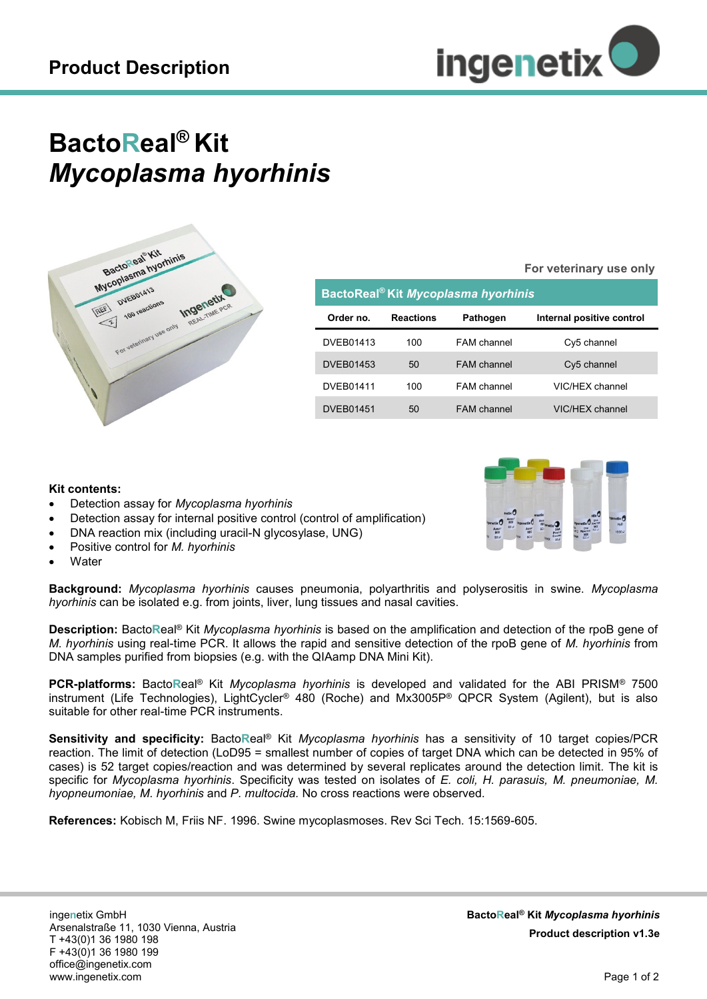

# **BactoReal® Kit** *Mycoplasma hyorhinis*



| BactoReal <sup>®</sup> Kit Mycoplasma hyorhinis |                  |                    |                           |
|-------------------------------------------------|------------------|--------------------|---------------------------|
| Order no.                                       | <b>Reactions</b> | <b>Pathogen</b>    | Internal positive control |
| DVEB01413                                       | 100              | FAM channel        | Cy5 channel               |
| <b>DVEB01453</b>                                | 50               | <b>FAM</b> channel | Cy5 channel               |
| <b>DVEB01411</b>                                | 100              | <b>FAM</b> channel | VIC/HEX channel           |
| <b>DVEB01451</b>                                | 50               | <b>FAM</b> channel | VIC/HFX channel           |

#### **Kit contents:**

- Detection assay for *Mycoplasma hyorhinis*
- Detection assay for internal positive control (control of amplification)
- DNA reaction mix (including uracil-N glycosylase, UNG)
- Positive control for *M. hyorhinis*
- **Water**

**Background:** *Mycoplasma hyorhinis* causes pneumonia, polyarthritis and polyserositis in swine. *Mycoplasma hyorhinis* can be isolated e.g. from joints, liver, lung tissues and nasal cavities.

**Description:** Bacto**R**eal® Kit *Mycoplasma hyorhinis* is based on the amplification and detection of the rpoB gene of *M. hyorhinis* using real-time PCR. It allows the rapid and sensitive detection of the rpoB gene of *M. hyorhinis* from DNA samples purified from biopsies (e.g. with the QIAamp DNA Mini Kit).

**PCR-platforms:** Bacto**R**eal® Kit *Mycoplasma hyorhinis* is developed and validated for the ABI PRISM® 7500 instrument (Life Technologies), LightCycler® 480 (Roche) and Mx3005P® QPCR System (Agilent), but is also suitable for other real-time PCR instruments.

**Sensitivity and specificity:** Bacto**R**eal® Kit *Mycoplasma hyorhinis* has a sensitivity of 10 target copies/PCR reaction. The limit of detection (LoD95 = smallest number of copies of target DNA which can be detected in 95% of cases) is 52 target copies/reaction and was determined by several replicates around the detection limit. The kit is specific for *Mycoplasma hyorhinis*. Specificity was tested on isolates of *E. coli, H. parasuis, M. pneumoniae, M. hyopneumoniae, M. hyorhinis* and *P. multocida.* No cross reactions were observed.

**References:** Kobisch M, Friis NF. 1996. Swine mycoplasmoses. Rev Sci Tech. 15:1569-605.



**For veterinary use only**